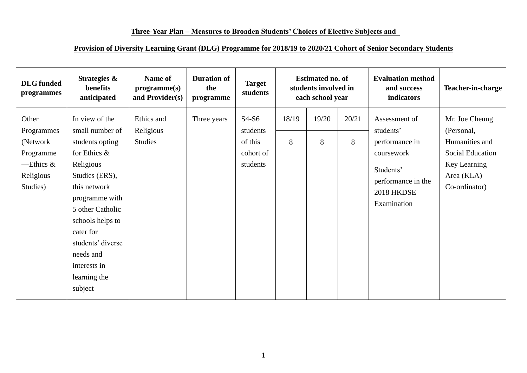## **Three-Year Plan – Measures to Broaden Students' Choices of Elective Subjects and**

## **Provision of Diversity Learning Grant (DLG) Programme for 2018/19 to 2020/21 Cohort of Senior Secondary Students**

| <b>DLG</b> funded<br>programmes                                                        | Strategies &<br>benefits<br>anticipated                                                                                                                                                                                                                                    | Name of<br>programme(s)<br>and Provider(s) | <b>Duration of</b><br>the<br>programme | <b>Target</b><br>students                               | <b>Estimated no. of</b><br>students involved in<br>each school year |            |            | <b>Evaluation method</b><br>and success<br>indicators                                                                      | Teacher-in-charge                                                                                                 |
|----------------------------------------------------------------------------------------|----------------------------------------------------------------------------------------------------------------------------------------------------------------------------------------------------------------------------------------------------------------------------|--------------------------------------------|----------------------------------------|---------------------------------------------------------|---------------------------------------------------------------------|------------|------------|----------------------------------------------------------------------------------------------------------------------------|-------------------------------------------------------------------------------------------------------------------|
| Other<br>Programmes<br>(Network)<br>Programme<br>—Ethics $\&$<br>Religious<br>Studies) | In view of the<br>small number of<br>students opting<br>for Ethics $\&$<br>Religious<br>Studies (ERS),<br>this network<br>programme with<br>5 other Catholic<br>schools helps to<br>cater for<br>students' diverse<br>needs and<br>interests in<br>learning the<br>subject | Ethics and<br>Religious<br><b>Studies</b>  | Three years                            | $S4-S6$<br>students<br>of this<br>cohort of<br>students | 18/19<br>8                                                          | 19/20<br>8 | 20/21<br>8 | Assessment of<br>students'<br>performance in<br>coursework<br>Students'<br>performance in the<br>2018 HKDSE<br>Examination | Mr. Joe Cheung<br>(Personal,<br>Humanities and<br>Social Education<br>Key Learning<br>Area (KLA)<br>Co-ordinator) |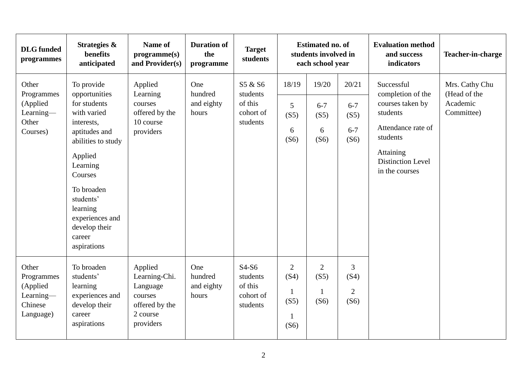| <b>DLG</b> funded<br>programmes                                      | Strategies &<br>benefits<br>anticipated                                                                                                                                                                                                               | Name of<br>programme(s)<br>and Provider(s)                                                 | <b>Duration of</b><br>the<br>programme | <b>Target</b><br>students                               | <b>Estimated no. of</b><br>students involved in<br>each school year |                                                |                                                  | <b>Evaluation method</b><br>and success<br>indicators                                                                                                               | Teacher-in-charge                                        |
|----------------------------------------------------------------------|-------------------------------------------------------------------------------------------------------------------------------------------------------------------------------------------------------------------------------------------------------|--------------------------------------------------------------------------------------------|----------------------------------------|---------------------------------------------------------|---------------------------------------------------------------------|------------------------------------------------|--------------------------------------------------|---------------------------------------------------------------------------------------------------------------------------------------------------------------------|----------------------------------------------------------|
| Other<br>Programmes<br>(Applied<br>Learning-<br>Other<br>Courses)    | To provide<br>opportunities<br>for students<br>with varied<br>interests,<br>aptitudes and<br>abilities to study<br>Applied<br>Learning<br>Courses<br>To broaden<br>students'<br>learning<br>experiences and<br>develop their<br>career<br>aspirations | Applied<br>Learning<br>courses<br>offered by the<br>10 course<br>providers                 | One<br>hundred<br>and eighty<br>hours  | S5 & S6<br>students<br>of this<br>cohort of<br>students | 18/19<br>$\overline{5}$<br>(S5)<br>6<br>(S6)                        | 19/20<br>$6 - 7$<br>(S5)<br>6<br>(S6)          | 20/21<br>$6 - 7$<br>(S5)<br>$6 - 7$<br>(S6)      | Successful<br>completion of the<br>courses taken by<br>students<br>Attendance rate of<br>students<br><b>Attaining</b><br><b>Distinction Level</b><br>in the courses | Mrs. Cathy Chu<br>(Head of the<br>Academic<br>Committee) |
| Other<br>Programmes<br>(Applied<br>Learning-<br>Chinese<br>Language) | To broaden<br>students'<br>learning<br>experiences and<br>develop their<br>career<br>aspirations                                                                                                                                                      | Applied<br>Learning-Chi.<br>Language<br>courses<br>offered by the<br>2 course<br>providers | One<br>hundred<br>and eighty<br>hours  | $S4-S6$<br>students<br>of this<br>cohort of<br>students | $\overline{2}$<br>(S4)<br>1<br>(S5)<br>$\mathbf{1}$<br>(S6)         | $\overline{2}$<br>(S5)<br>$\mathbf{1}$<br>(S6) | $\overline{3}$<br>(S4)<br>$\overline{2}$<br>(S6) |                                                                                                                                                                     |                                                          |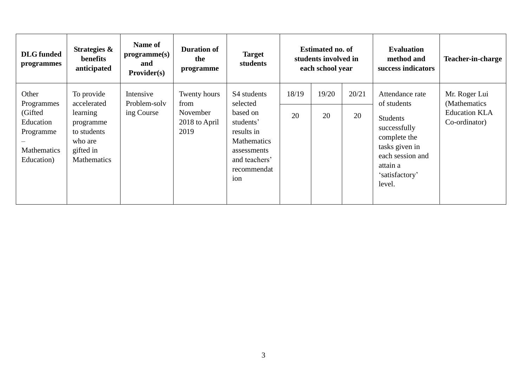| <b>DLG</b> funded<br>programmes                                                               | Strategies &<br>benefits<br>anticipated                                                                  | Name of<br>programme(s)<br>and<br>Provider(s) | <b>Duration of</b><br>the<br>programme                    | <b>Target</b><br>students                                                                                                                  |             | <b>Estimated no. of</b><br>students involved in<br>each school year |             | <b>Evaluation</b><br>method and<br>success indicators                                                                                                           | Teacher-in-charge                                                       |
|-----------------------------------------------------------------------------------------------|----------------------------------------------------------------------------------------------------------|-----------------------------------------------|-----------------------------------------------------------|--------------------------------------------------------------------------------------------------------------------------------------------|-------------|---------------------------------------------------------------------|-------------|-----------------------------------------------------------------------------------------------------------------------------------------------------------------|-------------------------------------------------------------------------|
| Other<br>Programmes<br>(Gifted)<br>Education<br>Programme<br><b>Mathematics</b><br>Education) | To provide<br>accelerated<br>learning<br>programme<br>to students<br>who are<br>gifted in<br>Mathematics | Intensive<br>Problem-solv<br>ing Course       | Twenty hours<br>from<br>November<br>2018 to April<br>2019 | S4 students<br>selected<br>based on<br>students'<br>results in<br><b>Mathematics</b><br>assessments<br>and teachers'<br>recommendat<br>ion | 18/19<br>20 | 19/20<br>20                                                         | 20/21<br>20 | Attendance rate<br>of students<br><b>Students</b><br>successfully<br>complete the<br>tasks given in<br>each session and<br>attain a<br>'satisfactory'<br>level. | Mr. Roger Lui<br>(Mathematics)<br><b>Education KLA</b><br>Co-ordinator) |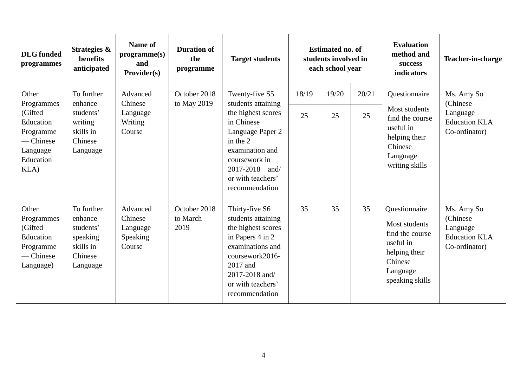| <b>DLG</b> funded<br>programmes                                                                        | Strategies &<br>benefits<br>anticipated                                            | Name of<br>programme(s)<br>and<br>Provider(s)         | <b>Duration of</b><br>the<br>programme | <b>Target students</b>                                                                                                                                                                                | <b>Estimated no. of</b><br>students involved in<br>each school year |             | <b>Evaluation</b><br>method and<br>success<br>indicators | Teacher-in-charge                                                                                                         |                                                                              |
|--------------------------------------------------------------------------------------------------------|------------------------------------------------------------------------------------|-------------------------------------------------------|----------------------------------------|-------------------------------------------------------------------------------------------------------------------------------------------------------------------------------------------------------|---------------------------------------------------------------------|-------------|----------------------------------------------------------|---------------------------------------------------------------------------------------------------------------------------|------------------------------------------------------------------------------|
| Other<br>Programmes<br>(Gifted<br>Education<br>Programme<br>— Chinese<br>Language<br>Education<br>KLA) | To further<br>enhance<br>students'<br>writing<br>skills in<br>Chinese<br>Language  | Advanced<br>Chinese<br>Language<br>Writing<br>Course  | October 2018<br>to May 2019            | Twenty-five S5<br>students attaining<br>the highest scores<br>in Chinese<br>Language Paper 2<br>in the 2<br>examination and<br>coursework in<br>2017-2018 and/<br>or with teachers'<br>recommendation | 18/19<br>25                                                         | 19/20<br>25 | 20/21<br>25                                              | Questionnaire<br>Most students<br>find the course<br>useful in<br>helping their<br>Chinese<br>Language<br>writing skills  | Ms. Amy So<br>(Chinese)<br>Language<br><b>Education KLA</b><br>Co-ordinator) |
| Other<br>Programmes<br>(Gifted<br>Education<br>Programme<br>- Chinese<br>Language)                     | To further<br>enhance<br>students'<br>speaking<br>skills in<br>Chinese<br>Language | Advanced<br>Chinese<br>Language<br>Speaking<br>Course | October 2018<br>to March<br>2019       | Thirty-five S6<br>students attaining<br>the highest scores<br>in Papers 4 in 2<br>examinations and<br>coursework2016-<br>2017 and<br>2017-2018 and/<br>or with teachers'<br>recommendation            | 35                                                                  | 35          | 35                                                       | Questionnaire<br>Most students<br>find the course<br>useful in<br>helping their<br>Chinese<br>Language<br>speaking skills | Ms. Amy So<br>(Chinese)<br>Language<br><b>Education KLA</b><br>Co-ordinator) |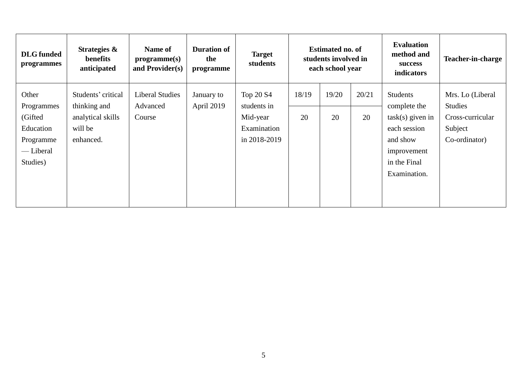| <b>DLG</b> funded<br>programmes                                                   | Strategies &<br>benefits<br>anticipated                                         | <b>Name of</b><br>programme(s)<br>and Provider(s) | <b>Duration of</b><br>the<br>programme | <b>Target</b><br>students                                           | <b>Estimated no. of</b><br>students involved in<br>each school year |             | <b>Evaluation</b><br>method and<br>success<br>indicators | Teacher-in-charge                                                                                                         |                                                                                    |
|-----------------------------------------------------------------------------------|---------------------------------------------------------------------------------|---------------------------------------------------|----------------------------------------|---------------------------------------------------------------------|---------------------------------------------------------------------|-------------|----------------------------------------------------------|---------------------------------------------------------------------------------------------------------------------------|------------------------------------------------------------------------------------|
| Other<br>Programmes<br>(Gifted<br>Education<br>Programme<br>— Liberal<br>Studies) | Students' critical<br>thinking and<br>analytical skills<br>will be<br>enhanced. | <b>Liberal Studies</b><br>Advanced<br>Course      | January to<br>April 2019               | Top 20 S4<br>students in<br>Mid-year<br>Examination<br>in 2018-2019 | 18/19<br>20                                                         | 19/20<br>20 | 20/21<br>20                                              | Students<br>complete the<br>$task(s)$ given in<br>each session<br>and show<br>improvement<br>in the Final<br>Examination. | Mrs. Lo (Liberal<br><b>Studies</b><br>Cross-curricular<br>Subject<br>Co-ordinator) |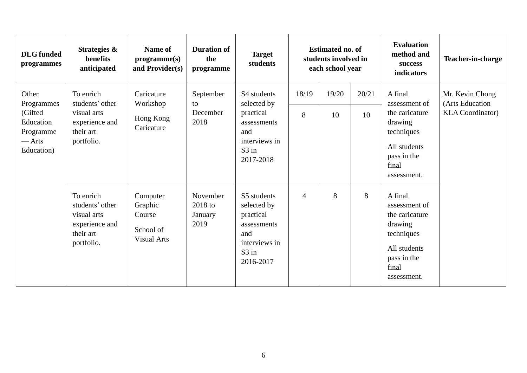| <b>DLG</b> funded<br>programmes                                                           | Strategies &<br>benefits<br>anticipated                                                  | Name of<br>programme(s)<br>and Provider(s)                       | <b>Duration of</b><br>the<br>programme | <b>Target</b><br>students                                                                                        | <b>Estimated no. of</b><br>students involved in<br>each school year |             | <b>Evaluation</b><br>method and<br>success<br>indicators | <b>Teacher-in-charge</b>                                                                                                   |                                                               |
|-------------------------------------------------------------------------------------------|------------------------------------------------------------------------------------------|------------------------------------------------------------------|----------------------------------------|------------------------------------------------------------------------------------------------------------------|---------------------------------------------------------------------|-------------|----------------------------------------------------------|----------------------------------------------------------------------------------------------------------------------------|---------------------------------------------------------------|
| Other<br>Programmes<br>(Gifted)<br>Education<br>Programme<br>$-\text{Arts}$<br>Education) | To enrich<br>students' other<br>visual arts<br>experience and<br>their art<br>portfolio. | Caricature<br>Workshop<br>Hong Kong<br>Caricature                | September<br>to<br>December<br>2018    | S4 students<br>selected by<br>practical<br>assessments<br>and<br>interviews in<br>$S3$ in<br>2017-2018           | 18/19<br>8                                                          | 19/20<br>10 | 20/21<br>10                                              | A final<br>assessment of<br>the caricature<br>drawing<br>techniques<br>All students<br>pass in the<br>final<br>assessment. | Mr. Kevin Chong<br>(Arts Education<br><b>KLA</b> Coordinator) |
|                                                                                           | To enrich<br>students' other<br>visual arts<br>experience and<br>their art<br>portfolio. | Computer<br>Graphic<br>Course<br>School of<br><b>Visual Arts</b> | November<br>2018 to<br>January<br>2019 | S5 students<br>selected by<br>practical<br>assessments<br>and<br>interviews in<br>S <sub>3</sub> in<br>2016-2017 | $\overline{4}$                                                      | 8           | 8                                                        | A final<br>assessment of<br>the caricature<br>drawing<br>techniques<br>All students<br>pass in the<br>final<br>assessment. |                                                               |